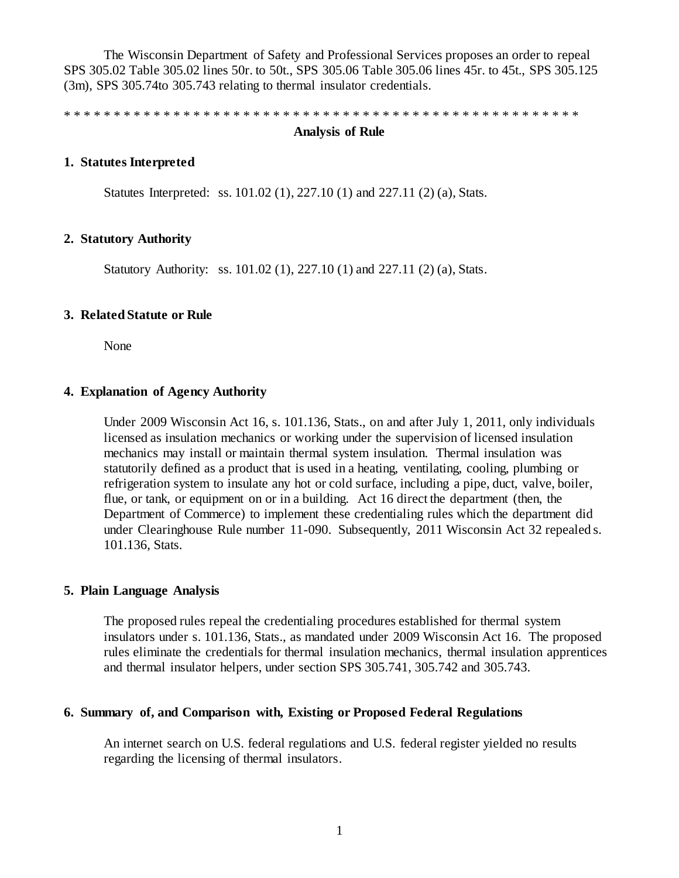The Wisconsin Department of Safety and Professional Services proposes an order to repeal SPS 305.02 Table 305.02 lines 50r. to 50t., SPS 305.06 Table 305.06 lines 45r. to 45t., SPS 305.125 (3m), SPS 305.74to 305.743 relating to thermal insulator credentials.

\* \* \* \* \* \* \* \* \* \* \* \* \* \* \* \* \* \* \* \* \* \* \* \* \* \* \* \* \* \* \* \* \* \* \* \* \* \* \* \* \* \* \* \* \* \* \* \* \* \* \* \*

### **Analysis of Rule**

## **1. Statutes Interpreted**

Statutes Interpreted: ss. 101.02 (1), 227.10 (1) and 227.11 (2) (a), Stats.

#### **2. Statutory Authority**

Statutory Authority: ss. 101.02 (1), 227.10 (1) and 227.11 (2) (a), Stats.

#### **3. Related Statute or Rule**

None

### **4. Explanation of Agency Authority**

Under 2009 Wisconsin Act 16, s. 101.136, Stats., on and after July 1, 2011, only individuals licensed as insulation mechanics or working under the supervision of licensed insulation mechanics may install or maintain thermal system insulation. Thermal insulation was statutorily defined as a product that is used in a heating, ventilating, cooling, plumbing or refrigeration system to insulate any hot or cold surface, including a pipe, duct, valve, boiler, flue, or tank, or equipment on or in a building. Act 16 direct the department (then, the Department of Commerce) to implement these credentialing rules which the department did under Clearinghouse Rule number 11-090. Subsequently, 2011 Wisconsin Act 32 repealed s. 101.136, Stats.

### **5. Plain Language Analysis**

The proposed rules repeal the credentialing procedures established for thermal system insulators under s. 101.136, Stats., as mandated under 2009 Wisconsin Act 16. The proposed rules eliminate the credentials for thermal insulation mechanics, thermal insulation apprentices and thermal insulator helpers, under section SPS 305.741, 305.742 and 305.743.

### **6. Summary of, and Comparison with, Existing or Proposed Federal Regulations**

An internet search on U.S. federal regulations and U.S. federal register yielded no results regarding the licensing of thermal insulators.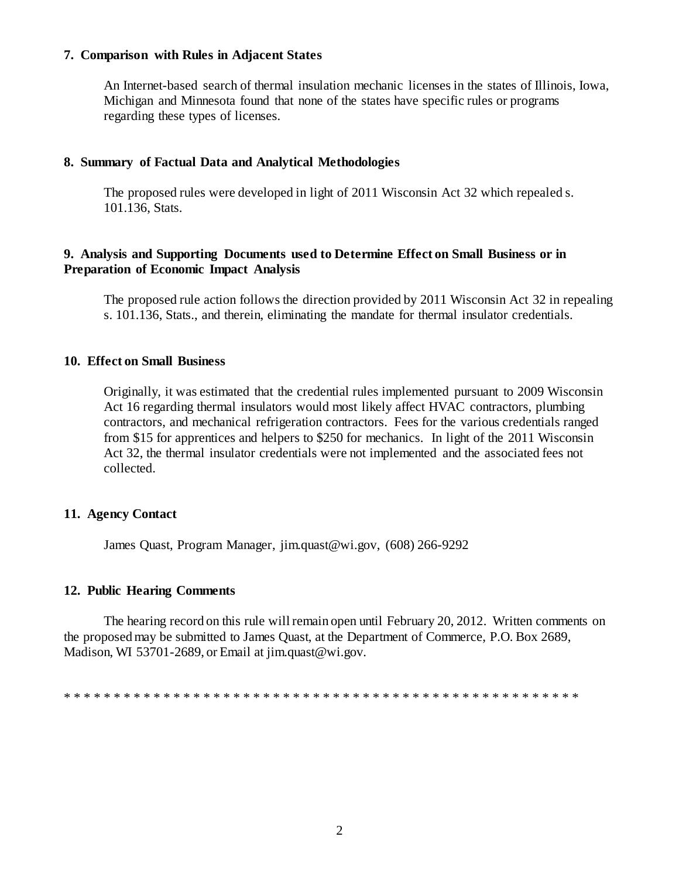## **7. Comparison with Rules in Adjacent States**

An Internet-based search of thermal insulation mechanic licenses in the states of Illinois, Iowa, Michigan and Minnesota found that none of the states have specific rules or programs regarding these types of licenses.

# **8. Summary of Factual Data and Analytical Methodologies**

The proposed rules were developed in light of 2011 Wisconsin Act 32 which repealed s. 101.136, Stats.

# **9. Analysis and Supporting Documents used to Determine Effect on Small Business or in Preparation of Economic Impact Analysis**

The proposed rule action follows the direction provided by 2011 Wisconsin Act 32 in repealing s. 101.136, Stats., and therein, eliminating the mandate for thermal insulator credentials.

# **10. Effect on Small Business**

Originally, it was estimated that the credential rules implemented pursuant to 2009 Wisconsin Act 16 regarding thermal insulators would most likely affect HVAC contractors, plumbing contractors, and mechanical refrigeration contractors. Fees for the various credentials ranged from \$15 for apprentices and helpers to \$250 for mechanics. In light of the 2011 Wisconsin Act 32, the thermal insulator credentials were not implemented and the associated fees not collected.

# **11. Agency Contact**

James Quast, Program Manager, jim.quast@wi.gov, (608) 266-9292

# **12. Public Hearing Comments**

The hearing record on this rule will remain open until February 20, 2012. Written comments on the proposed may be submitted to James Quast, at the Department of Commerce, P.O. Box 2689, Madison, WI 53701-2689, or Email at jim.quast@wi.gov.

\* \* \* \* \* \* \* \* \* \* \* \* \* \* \* \* \* \* \* \* \* \* \* \* \* \* \* \* \* \* \* \* \* \* \* \* \* \* \* \* \* \* \* \* \* \* \* \* \* \* \* \*